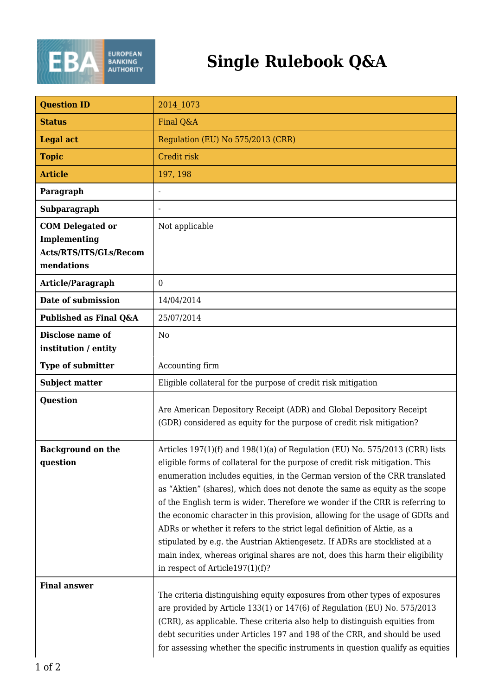

| <b>Question ID</b>                                                              | 2014 1073                                                                                                                                                                                                                                                                                                                                                                                                                                                                                                                                                                                                                                                                                                                                                                  |
|---------------------------------------------------------------------------------|----------------------------------------------------------------------------------------------------------------------------------------------------------------------------------------------------------------------------------------------------------------------------------------------------------------------------------------------------------------------------------------------------------------------------------------------------------------------------------------------------------------------------------------------------------------------------------------------------------------------------------------------------------------------------------------------------------------------------------------------------------------------------|
| <b>Status</b>                                                                   | Final Q&A                                                                                                                                                                                                                                                                                                                                                                                                                                                                                                                                                                                                                                                                                                                                                                  |
| <b>Legal act</b>                                                                | Regulation (EU) No 575/2013 (CRR)                                                                                                                                                                                                                                                                                                                                                                                                                                                                                                                                                                                                                                                                                                                                          |
| <b>Topic</b>                                                                    | Credit risk                                                                                                                                                                                                                                                                                                                                                                                                                                                                                                                                                                                                                                                                                                                                                                |
| <b>Article</b>                                                                  | 197, 198                                                                                                                                                                                                                                                                                                                                                                                                                                                                                                                                                                                                                                                                                                                                                                   |
| Paragraph                                                                       | $\overline{a}$                                                                                                                                                                                                                                                                                                                                                                                                                                                                                                                                                                                                                                                                                                                                                             |
| Subparagraph                                                                    |                                                                                                                                                                                                                                                                                                                                                                                                                                                                                                                                                                                                                                                                                                                                                                            |
| <b>COM Delegated or</b><br>Implementing<br>Acts/RTS/ITS/GLs/Recom<br>mendations | Not applicable                                                                                                                                                                                                                                                                                                                                                                                                                                                                                                                                                                                                                                                                                                                                                             |
| Article/Paragraph                                                               | $\overline{0}$                                                                                                                                                                                                                                                                                                                                                                                                                                                                                                                                                                                                                                                                                                                                                             |
| Date of submission                                                              | 14/04/2014                                                                                                                                                                                                                                                                                                                                                                                                                                                                                                                                                                                                                                                                                                                                                                 |
| Published as Final Q&A                                                          | 25/07/2014                                                                                                                                                                                                                                                                                                                                                                                                                                                                                                                                                                                                                                                                                                                                                                 |
| Disclose name of<br>institution / entity                                        | N <sub>0</sub>                                                                                                                                                                                                                                                                                                                                                                                                                                                                                                                                                                                                                                                                                                                                                             |
| <b>Type of submitter</b>                                                        | Accounting firm                                                                                                                                                                                                                                                                                                                                                                                                                                                                                                                                                                                                                                                                                                                                                            |
| <b>Subject matter</b>                                                           | Eligible collateral for the purpose of credit risk mitigation                                                                                                                                                                                                                                                                                                                                                                                                                                                                                                                                                                                                                                                                                                              |
| <b>Question</b>                                                                 | Are American Depository Receipt (ADR) and Global Depository Receipt<br>(GDR) considered as equity for the purpose of credit risk mitigation?                                                                                                                                                                                                                                                                                                                                                                                                                                                                                                                                                                                                                               |
| <b>Background on the</b><br>question                                            | Articles 197(1)(f) and 198(1)(a) of Regulation (EU) No. 575/2013 (CRR) lists<br>eligible forms of collateral for the purpose of credit risk mitigation. This<br>enumeration includes equities, in the German version of the CRR translated<br>as "Aktien" (shares), which does not denote the same as equity as the scope<br>of the English term is wider. Therefore we wonder if the CRR is referring to<br>the economic character in this provision, allowing for the usage of GDRs and<br>ADRs or whether it refers to the strict legal definition of Aktie, as a<br>stipulated by e.g. the Austrian Aktiengesetz. If ADRs are stocklisted at a<br>main index, whereas original shares are not, does this harm their eligibility<br>in respect of Article $197(1)(f)$ ? |
| <b>Final answer</b>                                                             | The criteria distinguishing equity exposures from other types of exposures<br>are provided by Article 133(1) or 147(6) of Regulation (EU) No. 575/2013<br>(CRR), as applicable. These criteria also help to distinguish equities from<br>debt securities under Articles 197 and 198 of the CRR, and should be used<br>for assessing whether the specific instruments in question qualify as equities                                                                                                                                                                                                                                                                                                                                                                       |